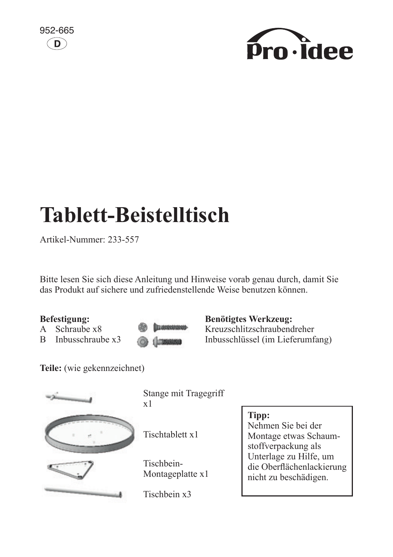



# **Tablett-Beistelltisch**

Artikel-Nummer: 233-557 Assembly instructions. 200 00 m

Bitte lesen Sie sich diese Anleitung und Hinweise vorab genau durch, damit Sie das Produkt auf sichere und zufriedenstellende Weise benutzen können.

## **Befestigung:**

- A Schraube x8
- $\overline{B}$  Inbusschraube x3

**TELAPORORMANIA** 1 TIMOGONO

**Benötigtes Werkzeug:** 

**Example Screw Cross** Inbusschlüssel (im Lieferumfang) Kreuzschlitzschraubendreher

Teile: (wie gekennzeichnet)



 $\frac{1}{x+1}$ Stange mit Tragegriff x1

Tischtablett x1

Historican<br>Montageplatte x1 Tischbein-

Tischbein x3

#### helpful hint: **Tipp:**

use foam packaging during

Nehmen Sie bei der Montage etwas Schaumstoffverpackung als Unterlage zu Hilfe, um die Oberflächenlackierung nicht zu beschädigen.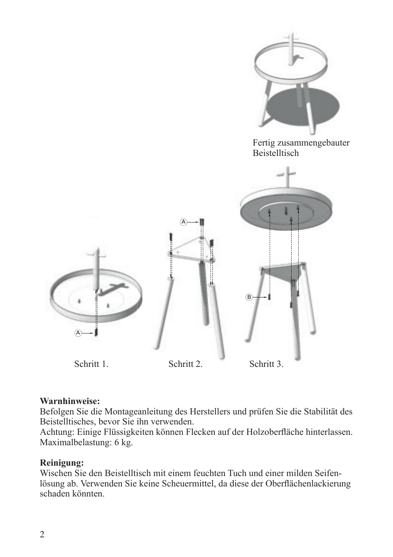

### Assemble in accordance with manufacturers instructions. Check stability of assembled table before use. **Warnhinweise:**

warminiesse.<br>Befolgen Sie die Montageanleitung des Herstellers und prüfen Sie die Stabilität des Beistelltisches, bevor Sie ihn verwenden.

Maximalbelastung: 6 kg. Achtung: Einige Flüssigkeiten können Flecken auf der Holzoberfläche hinterlassen.

#### **Reinigung:**

Wischen Sie den Beistelltisch mit einem feuchten Tuch und einer milden Seifenlösung ab. Verwenden Sie keine Scheuermittel, da diese der Oberflächenlackierung schaden könnten.